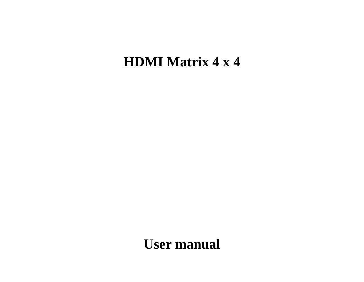# **HDMI Matrix 4 x 4**

**User manual**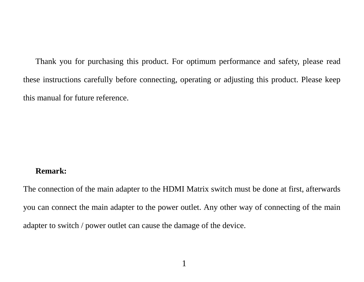Thank you for purchasing this product. For optimum performance and safety, please read these instructions carefully before connecting, operating or adjusting this product. Please keep this manual for future reference.

#### **Remark:**

The connection of the main adapter to the HDMI Matrix switch must be done at first, afterwards you can connect the main adapter to the power outlet. Any other way of connecting of the main adapter to switch / power outlet can cause the damage of the device.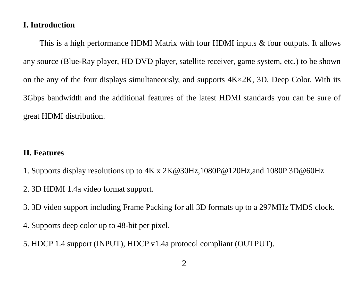# **I. Introduction**

This is a high performance HDMI Matrix with four HDMI inputs & four outputs. It allows any source (Blue-Ray player, HD DVD player, satellite receiver, game system, etc.) to be shown on the any of the four displays simultaneously, and supports  $4K \times 2K$ , 3D. Deep Color. With its 3Gbps bandwidth and the additional features of the latest HDMI standards you can be sure of great HDMI distribution.

#### **II. Features**

- 1. Supports display resolutions up to 4K x 2K@30Hz,1080P@120Hz,and 1080P 3D@60Hz
- 2. 3D HDMI 1.4a video format support.
- 3. 3D video support including Frame Packing for all 3D formats up to a 297MHz TMDS clock.
- 4. Supports deep color up to 48-bit per pixel.
- 5. HDCP 1.4 support (INPUT), HDCP v1.4a protocol compliant (OUTPUT).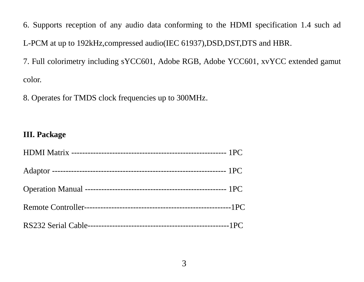6. Supports reception of any audio data conforming to the HDMI specification 1.4 such ad L-PCM at up to 192kHz,compressed audio(IEC 61937),DSD,DST,DTS and HBR.

7. Full colorimetry including sYCC601, Adobe RGB, Adobe YCC601, xvYCC extended gamut color.

8. Operates for TMDS clock frequencies up to 300MHz.

#### **III. Package**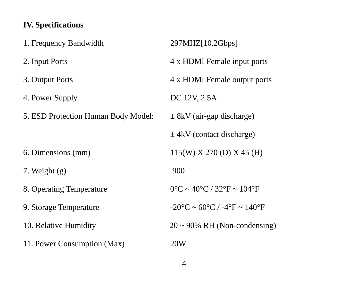# **IV. Specifications**

| 1. Frequency Bandwidth              | 297MHZ[10.2Gbps]                                                     |
|-------------------------------------|----------------------------------------------------------------------|
| 2. Input Ports                      | 4 x HDMI Female input ports                                          |
| 3. Output Ports                     | 4 x HDMI Female output ports                                         |
| 4. Power Supply                     | DC 12V, 2.5A                                                         |
| 5. ESD Protection Human Body Model: | $\pm$ 8kV (air-gap discharge)                                        |
|                                     | $\pm$ 4kV (contact discharge)                                        |
| 6. Dimensions (mm)                  | $115(W)$ X 270 (D) X 45 (H)                                          |
| 7. Weight $(g)$                     | 900                                                                  |
| 8. Operating Temperature            | $0^{\circ}$ C ~ 40 $^{\circ}$ C / 32 $^{\circ}$ F ~ 104 $^{\circ}$ F |
| 9. Storage Temperature              | $-20\degree C \sim 60\degree C$ / $-4\degree F \sim 140\degree F$    |
| 10. Relative Humidity               | $20 \sim 90\%$ RH (Non-condensing)                                   |
| 11. Power Consumption (Max)         | 20W                                                                  |
|                                     |                                                                      |

4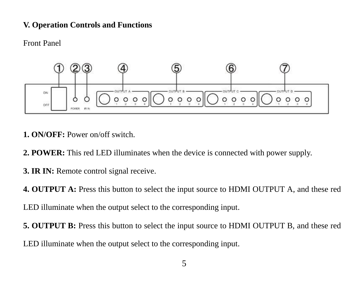## **V. Operation Controls and Functions**

Front Panel



- **1. ON/OFF:** Power on/off switch.
- **2. POWER:** This red LED illuminates when the device is connected with power supply.
- **3. IR IN:** Remote control signal receive.

**4. OUTPUT A:** Press this button to select the input source to HDMI OUTPUT A, and these red

LED illuminate when the output select to the corresponding input.

**5. OUTPUT B:** Press this button to select the input source to HDMI OUTPUT B, and these red LED illuminate when the output select to the corresponding input.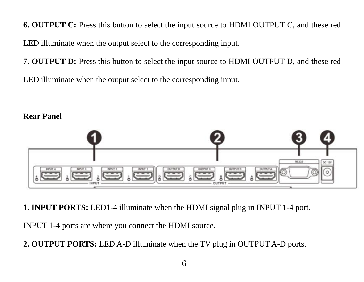**6. OUTPUT C:** Press this button to select the input source to HDMI OUTPUT C, and these red LED illuminate when the output select to the corresponding input.

**7. OUTPUT D:** Press this button to select the input source to HDMI OUTPUT D, and these red LED illuminate when the output select to the corresponding input.

# $83222$

**1. INPUT PORTS:** LED1-4 illuminate when the HDMI signal plug in INPUT 1-4 port.

INPUT 1-4 ports are where you connect the HDMI source.

**Rear Panel**

**2. OUTPUT PORTS:** LED A-D illuminate when the TV plug in OUTPUT A-D ports.

#### 6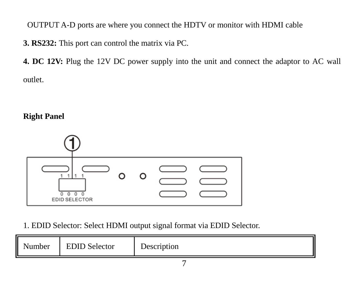OUTPUT A-D ports are where you connect the HDTV or monitor with HDMI cable

**3. RS232:** This port can control the matrix via PC.

**4. DC 12V:** Plug the 12V DC power supply into the unit and connect the adaptor to AC wall outlet.

# **Right Panel**



1. EDID Selector: Select HDMI output signal format via EDID Selector.

| amber | <b>EDID</b> Selector | $\sim$<br>Description |
|-------|----------------------|-----------------------|
|       |                      |                       |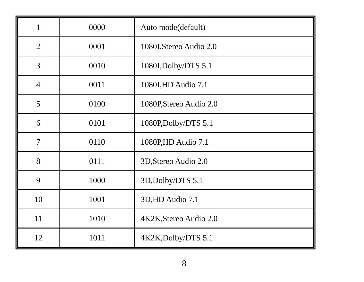| 1              | 0000 | Auto mode(default)      |
|----------------|------|-------------------------|
| $\overline{2}$ | 0001 | 1080I, Stereo Audio 2.0 |
| 3              | 0010 | 1080I, Dolby/DTS 5.1    |
| $\overline{4}$ | 0011 | 1080I, HD Audio 7.1     |
| 5              | 0100 | 1080P, Stereo Audio 2.0 |
| 6              | 0101 | 1080P,Dolby/DTS 5.1     |
| 7              | 0110 | 1080P,HD Audio 7.1      |
| 8              | 0111 | 3D, Stereo Audio 2.0    |
| 9              | 1000 | 3D, Dolby/DTS 5.1       |
| 10             | 1001 | 3D,HD Audio 7.1         |
| 11             | 1010 | 4K2K, Stereo Audio 2.0  |
| 12             | 1011 | 4K2K, Dolby/DTS 5.1     |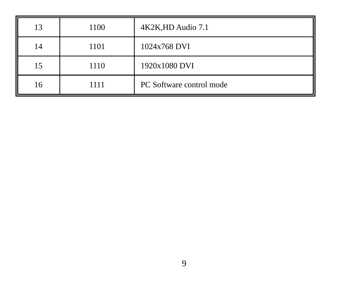| 13 | 1100 | 4K2K, HD Audio 7.1       |
|----|------|--------------------------|
| 14 | 1101 | 1024x768 DVI             |
| 15 | 1110 | 1920x1080 DVI            |
| 16 | 1111 | PC Software control mode |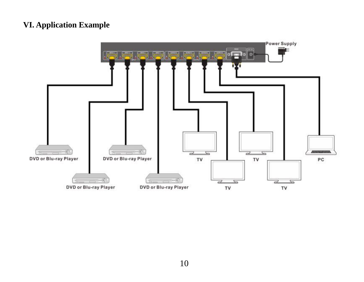# **VI. Application Example**

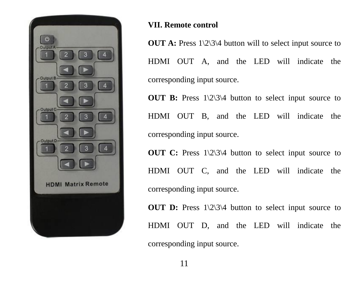

# **VII. Remote control**

**OUT A:** Press 1\2\3\4 button will to select input source to HDMI OUT A, and the LED will indicate the corresponding input source.

**OUT B:** Press 1\2\3\4 button to select input source to HDMI OUT B, and the LED will indicate the corresponding input source.

**OUT C:** Press 1\2\3\4 button to select input source to HDMI OUT C, and the LED will indicate the corresponding input source.

**OUT D:** Press  $1\frac{2}{3}$  button to select input source to HDMI OUT D, and the LED will indicate the corresponding input source.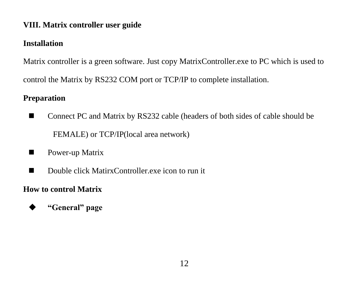# **VIII. Matrix controller user guide**

# **Installation**

Matrix controller is a green software. Just copy MatrixController.exe to PC which is used to control the Matrix by RS232 COM port or TCP/IP to complete installation.

# **Preparation**

- Connect PC and Matrix by RS232 cable (headers of both sides of cable should be FEMALE) or TCP/IP(local area network)
- **Power-up Matrix**
- Double click MatirxController exe icon to run it

# **How to control Matrix**

**"General" page**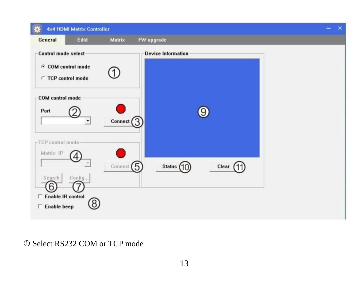

## Select RS232 COM or TCP mode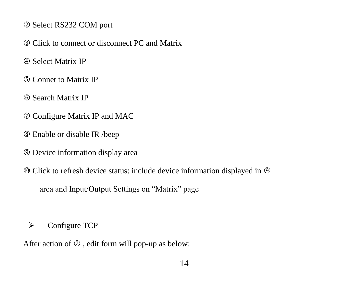- Select RS232 COM port
- Click to connect or disconnect PC and Matrix
- Select Matrix IP
- Connet to Matrix IP
- Search Matrix IP
- Configure Matrix IP and MAC
- Enable or disable IR /beep
- Device information display area
- Click to refresh device status: include device information displayed in

area and Input/Output Settings on "Matrix" page

 $\triangleright$  Configure TCP

After action of  $\oslash$  , edit form will pop-up as below: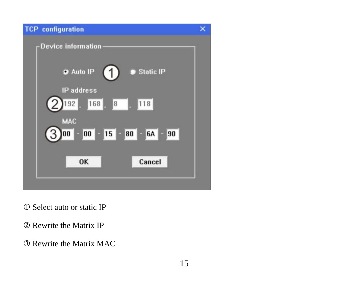

Select auto or static IP

Rewrite the Matrix IP

Rewrite the Matrix MAC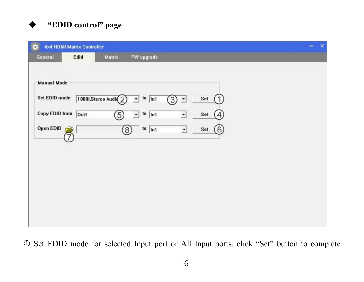# **"EDID control" page**

|                     | <b>4x4 HDMI Matrix Controller</b> |                       |                                                |                          |          |  | $\boldsymbol{\times}$ |
|---------------------|-----------------------------------|-----------------------|------------------------------------------------|--------------------------|----------|--|-----------------------|
| General             | Edid                              | Matrix                | FW upgrade                                     |                          |          |  |                       |
|                     |                                   |                       |                                                |                          |          |  |                       |
| <b>Manual Mode</b>  |                                   |                       |                                                |                          |          |  |                       |
| Set EDID mode       |                                   | 1080i, Stereo Audio 2 | $\frac{10}{101}$<br>치                          | $(3)$ -                  | Set      |  |                       |
| Copy EDID from Out1 |                                   | $\widehat{(5)}$       | $\frac{10}{2}$ ln1<br>$\overline{\phantom{a}}$ | $\overline{\phantom{a}}$ | Set<br>4 |  |                       |
| Open EDID           |                                   | $\circledS$           | $\frac{\text{to}}{\text{ln}1}$                 | $\overline{\phantom{a}}$ | Set<br>6 |  |                       |
|                     |                                   |                       |                                                |                          |          |  |                       |
|                     |                                   |                       |                                                |                          |          |  |                       |
|                     |                                   |                       |                                                |                          |          |  |                       |
|                     |                                   |                       |                                                |                          |          |  |                       |
|                     |                                   |                       |                                                |                          |          |  |                       |
|                     |                                   |                       |                                                |                          |          |  |                       |
|                     |                                   |                       |                                                |                          |          |  |                       |

Set EDID mode for selected Input port or All Input ports, click "Set" button to complete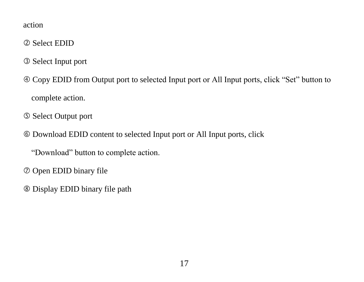#### action

- Select EDID
- Select Input port
- Copy EDID from Output port to selected Input port or All Input ports, click "Set" button to complete action.
- Select Output port
- Download EDID content to selected Input port or All Input ports, click

"Download" button to complete action.

- Open EDID binary file
- Display EDID binary file path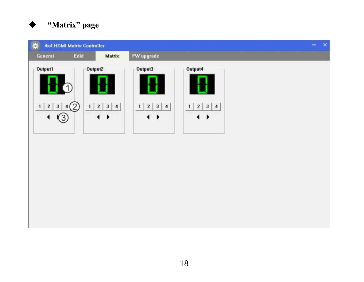

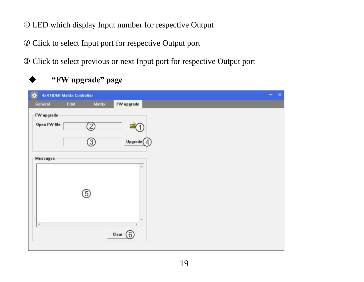- LED which display Input number for respective Output
- Click to select Input port for respective Output port
- Click to select previous or next Input port for respective Output port

# **"FW upgrade" page**

| $\bullet$    | <b>4x4 HDMI Matrix Controller</b> |                                                                                                                                                                                                                                                                                                                                                     |
|--------------|-----------------------------------|-----------------------------------------------------------------------------------------------------------------------------------------------------------------------------------------------------------------------------------------------------------------------------------------------------------------------------------------------------|
| General      | Matrix<br>Edid                    | FW upgrade                                                                                                                                                                                                                                                                                                                                          |
| FW upgrade   |                                   |                                                                                                                                                                                                                                                                                                                                                     |
| Open FW file | 2                                 |                                                                                                                                                                                                                                                                                                                                                     |
|              | $\circled{3}$                     | $\begin{picture}(40,10) \put(0,0){\line(1,0){155}} \put(0,0){\line(1,0){155}} \put(0,0){\line(1,0){155}} \put(0,0){\line(1,0){155}} \put(0,0){\line(1,0){155}} \put(0,0){\line(1,0){155}} \put(0,0){\line(1,0){155}} \put(0,0){\line(1,0){155}} \put(0,0){\line(1,0){155}} \put(0,0){\line(1,0){155}} \put(0,0){\line(1,0){155}} \put(0,0){\line(1$ |
| Messages     |                                   | ٠                                                                                                                                                                                                                                                                                                                                                   |
|              |                                   |                                                                                                                                                                                                                                                                                                                                                     |
|              |                                   |                                                                                                                                                                                                                                                                                                                                                     |
|              | (5)                               |                                                                                                                                                                                                                                                                                                                                                     |
|              |                                   |                                                                                                                                                                                                                                                                                                                                                     |
| ×            |                                   | ٠                                                                                                                                                                                                                                                                                                                                                   |
|              |                                   | Clear $(6)$                                                                                                                                                                                                                                                                                                                                         |
|              |                                   |                                                                                                                                                                                                                                                                                                                                                     |